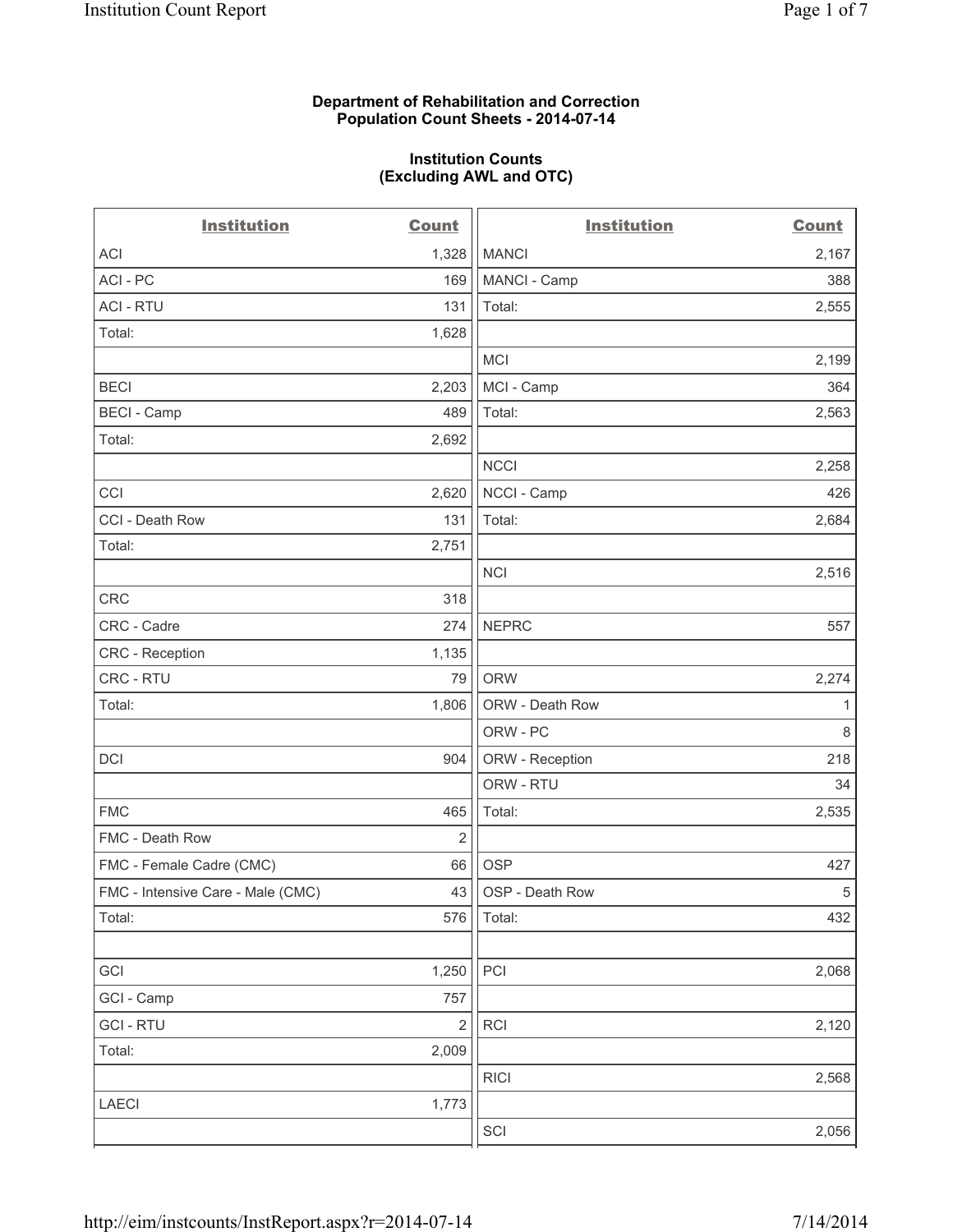## **Department of Rehabilitation and Correction Population Count Sheets - 2014-07-14**

### **Institution Counts (Excluding AWL and OTC)**

| <b>Institution</b>                | <b>Count</b>            | <b>Institution</b> | <b>Count</b> |
|-----------------------------------|-------------------------|--------------------|--------------|
| <b>ACI</b>                        | 1,328                   | <b>MANCI</b>       | 2,167        |
| ACI - PC                          | 169                     | MANCI - Camp       | 388          |
| <b>ACI - RTU</b>                  | 131                     | Total:             | 2,555        |
| Total:                            | 1,628                   |                    |              |
|                                   |                         | <b>MCI</b>         | 2,199        |
| <b>BECI</b>                       | 2,203                   | MCI - Camp         | 364          |
| <b>BECI - Camp</b>                | 489                     | Total:             | 2,563        |
| Total:                            | 2,692                   |                    |              |
|                                   |                         | <b>NCCI</b>        | 2,258        |
| CCI                               | 2,620                   | NCCI - Camp        | 426          |
| CCI - Death Row                   | 131                     | Total:             | 2,684        |
| Total:                            | 2,751                   |                    |              |
|                                   |                         | <b>NCI</b>         | 2,516        |
| <b>CRC</b>                        | 318                     |                    |              |
| CRC - Cadre                       | 274                     | <b>NEPRC</b>       | 557          |
| <b>CRC</b> - Reception            | 1,135                   |                    |              |
| CRC - RTU                         | 79                      | <b>ORW</b>         | 2,274        |
| Total:                            | 1,806                   | ORW - Death Row    | 1            |
|                                   |                         | ORW - PC           | $\,8\,$      |
| <b>DCI</b>                        | 904                     | ORW - Reception    | 218          |
|                                   |                         | ORW - RTU          | 34           |
| <b>FMC</b>                        | 465                     | Total:             | 2,535        |
| FMC - Death Row                   | 2                       |                    |              |
| FMC - Female Cadre (CMC)          | 66                      | <b>OSP</b>         | 427          |
| FMC - Intensive Care - Male (CMC) | 43                      | OSP - Death Row    | $\,$ 5 $\,$  |
| Total:                            | 576                     | Total:             | 432          |
|                                   |                         |                    |              |
| GCI                               | 1,250                   | PCI                | 2,068        |
| GCI - Camp                        | 757                     |                    |              |
| <b>GCI-RTU</b>                    | $\overline{\mathbf{c}}$ | <b>RCI</b>         | 2,120        |
| Total:                            | 2,009                   |                    |              |
|                                   |                         | <b>RICI</b>        | 2,568        |
| LAECI                             | 1,773                   |                    |              |
|                                   |                         | SCI                | 2,056        |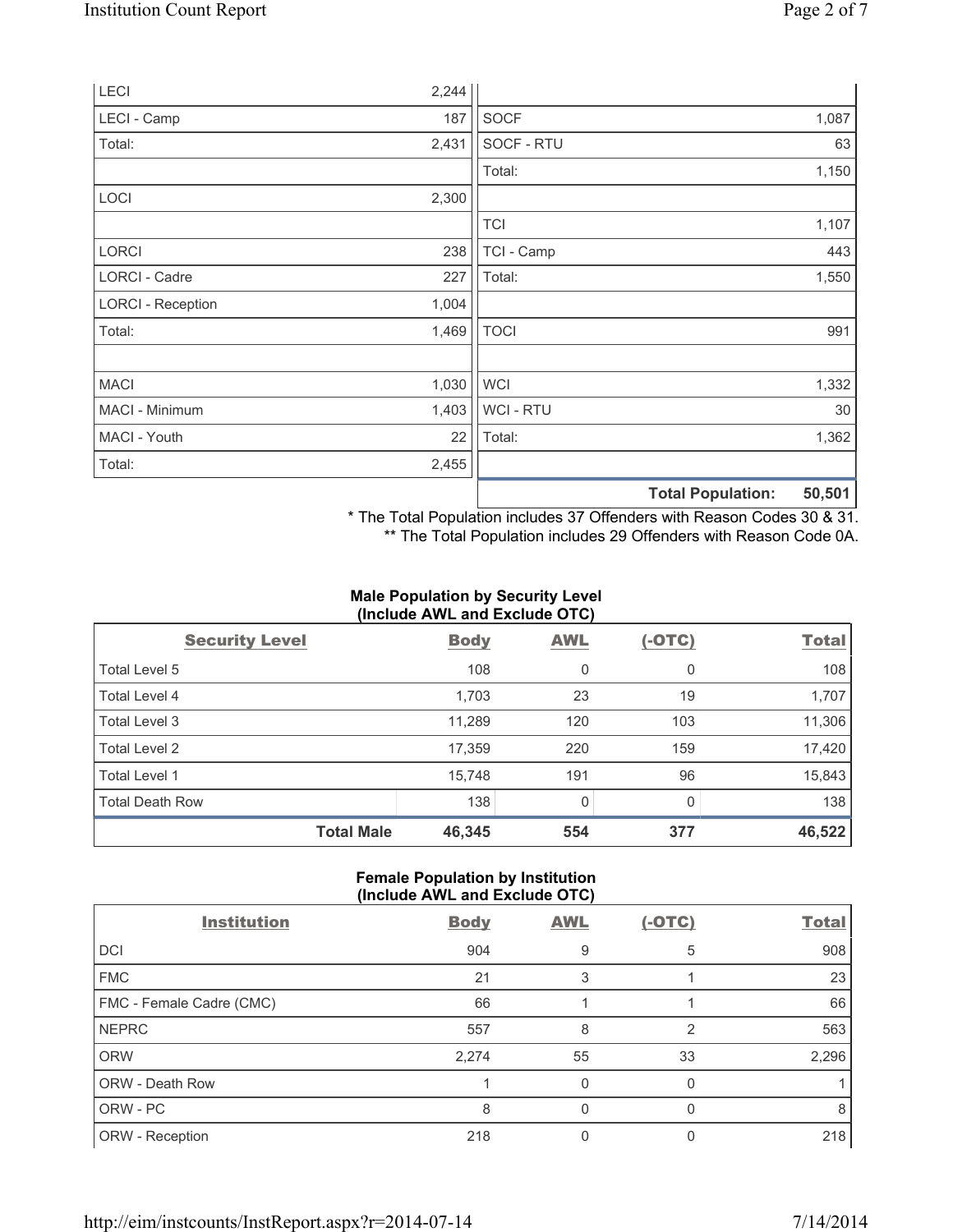| LECI                     | 2,244 |                |                                    |
|--------------------------|-------|----------------|------------------------------------|
| LECI - Camp              | 187   | <b>SOCF</b>    | 1,087                              |
| Total:                   | 2,431 | SOCF - RTU     | 63                                 |
|                          |       | Total:         | 1,150                              |
| LOCI                     | 2,300 |                |                                    |
|                          |       | <b>TCI</b>     | 1,107                              |
| <b>LORCI</b>             | 238   | TCI - Camp     | 443                                |
| LORCI - Cadre            | 227   | Total:         | 1,550                              |
| <b>LORCI - Reception</b> | 1,004 |                |                                    |
| Total:                   | 1,469 | <b>TOCI</b>    | 991                                |
|                          |       |                |                                    |
| <b>MACI</b>              | 1,030 | <b>WCI</b>     | 1,332                              |
| MACI - Minimum           | 1,403 | <b>WCI-RTU</b> | 30                                 |
| MACI - Youth             | 22    | Total:         | 1,362                              |
| Total:                   | 2,455 |                |                                    |
|                          |       |                | 50,501<br><b>Total Population:</b> |

\* The Total Population includes 37 Offenders with Reason Codes 30 & 31.

\*\* The Total Population includes 29 Offenders with Reason Code 0A.

## **Male Population by Security Level (Include AWL and Exclude OTC)**

| $\frac{1}{2}$          |             |            |          |              |  |  |
|------------------------|-------------|------------|----------|--------------|--|--|
| <b>Security Level</b>  | <b>Body</b> | <b>AWL</b> | $(-OTC)$ | <b>Total</b> |  |  |
| Total Level 5          | 108         | 0          | 0        | 108          |  |  |
| Total Level 4          | 1,703       | 23         | 19       | 1,707        |  |  |
| Total Level 3          | 11,289      | 120        | 103      | 11,306       |  |  |
| Total Level 2          | 17,359      | 220        | 159      | 17,420       |  |  |
| Total Level 1          | 15,748      | 191        | 96       | 15,843       |  |  |
| <b>Total Death Row</b> | 138         | 0          | 0        | 138          |  |  |
| <b>Total Male</b>      | 46,345      | 554        | 377      | 46,522       |  |  |

## **Female Population by Institution (Include AWL and Exclude OTC)**

| <b>Institution</b>       | <b>Body</b> | <b>AWL</b> | <u>(-OTC)</u> | <b>Total</b> |
|--------------------------|-------------|------------|---------------|--------------|
| <b>DCI</b>               | 904         | 9          | 5             | 908          |
| <b>FMC</b>               | 21          | 3          |               | 23           |
| FMC - Female Cadre (CMC) | 66          |            |               | 66           |
| <b>NEPRC</b>             | 557         | 8          | 2             | 563          |
| <b>ORW</b>               | 2,274       | 55         | 33            | 2,296        |
| ORW - Death Row          |             | 0          |               |              |
| ORW - PC                 | 8           | 0          | O             | 8            |
| ORW - Reception          | 218         | 0          |               | 218          |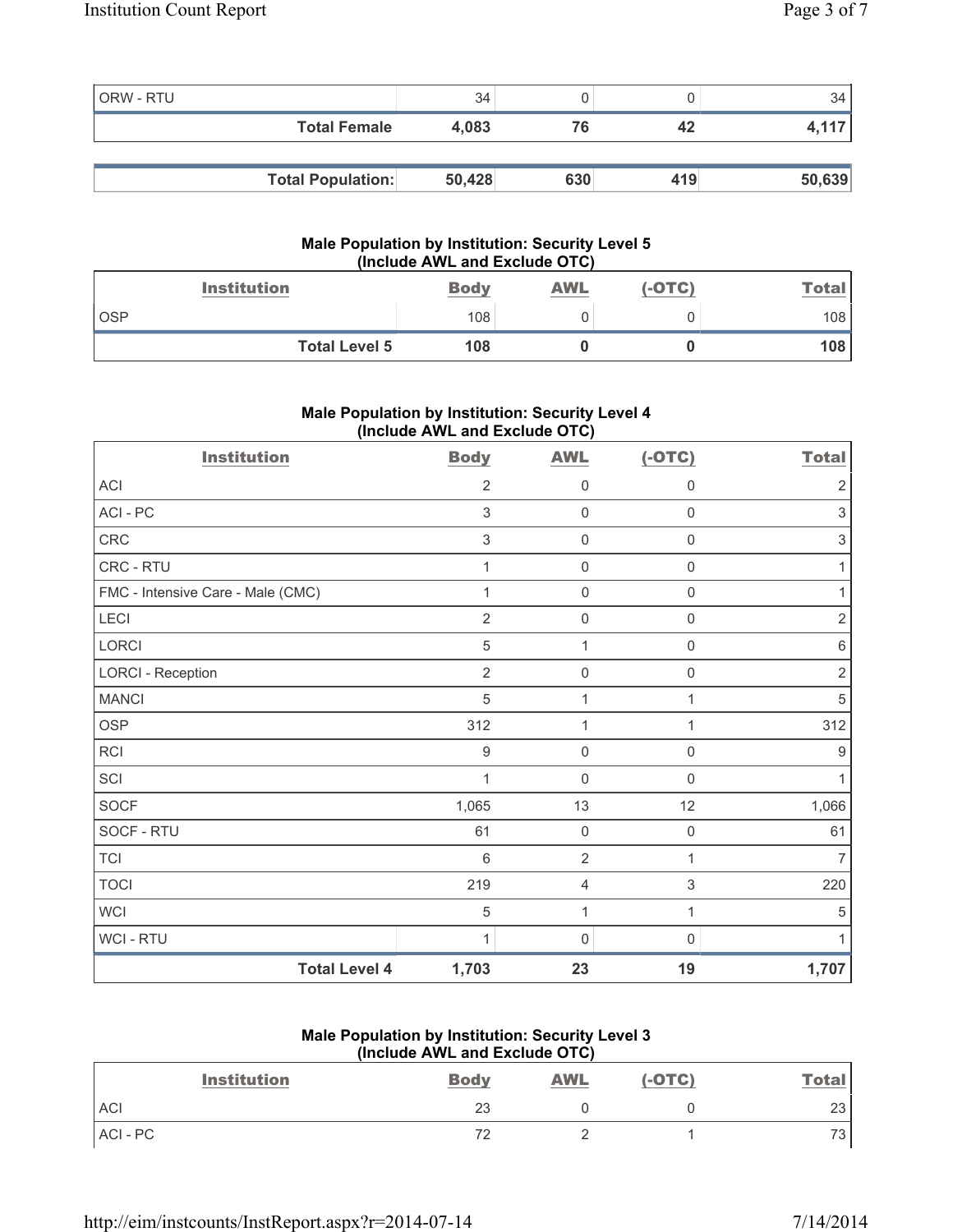| ORW - RTU |                          | 34     |     |     | 34     |
|-----------|--------------------------|--------|-----|-----|--------|
|           | <b>Total Female</b>      | 4.083  | 76  | 42  |        |
|           |                          |        |     |     |        |
|           | <b>Total Population:</b> | 50,428 | 630 | 419 | 50,639 |

## **Male Population by Institution: Security Level 5 (Include AWL and Exclude OTC)**

| <b>Institution</b>   | <b>Body</b> | <b>AWL</b> | (-OTC) | Total |
|----------------------|-------------|------------|--------|-------|
| <b>OSP</b>           | 108         |            |        | 108   |
| <b>Total Level 5</b> | 108         |            |        | 108   |

## **Male Population by Institution: Security Level 4 (Include AWL and Exclude OTC)**

| <b>Institution</b>                | <b>Body</b>               | <b>AWL</b>          | $(-OTC)$            | <b>Total</b>              |
|-----------------------------------|---------------------------|---------------------|---------------------|---------------------------|
| <b>ACI</b>                        | $\overline{2}$            | 0                   | 0                   | $\overline{2}$            |
| ACI - PC                          | $\sqrt{3}$                | $\mathbf 0$         | $\mathsf{O}\xspace$ | $\mathsf 3$               |
| ${\sf CRC}$                       | $\ensuremath{\mathsf{3}}$ | 0                   | 0                   | $\ensuremath{\mathsf{3}}$ |
| CRC - RTU                         | 1                         | 0                   | 0                   |                           |
| FMC - Intensive Care - Male (CMC) | 1                         | $\mathbf 0$         | $\mathsf 0$         | $\mathbf{1}$              |
| LECI                              | $\overline{2}$            | 0                   | $\mathbf 0$         | $\sqrt{2}$                |
| <b>LORCI</b>                      | 5                         | 1                   | 0                   | 6                         |
| <b>LORCI - Reception</b>          | $\overline{2}$            | $\mathsf{O}\xspace$ | $\mathsf 0$         | $\overline{2}$            |
| <b>MANCI</b>                      | 5                         | $\mathbf{1}$        | 1                   | $\sqrt{5}$                |
| <b>OSP</b>                        | 312                       | 1                   |                     | 312                       |
| <b>RCI</b>                        | $9$                       | $\mathbf 0$         | $\mathbf 0$         | 9                         |
| SCI                               | 1                         | $\mathsf{O}\xspace$ | $\mathbf 0$         | 1                         |
| <b>SOCF</b>                       | 1,065                     | 13                  | 12                  | 1,066                     |
| SOCF - RTU                        | 61                        | $\mathsf{O}\xspace$ | $\mathbf 0$         | 61                        |
| <b>TCI</b>                        | $6\,$                     | $\overline{2}$      | 1                   | $\overline{7}$            |
| <b>TOCI</b>                       | 219                       | 4                   | 3                   | 220                       |
| <b>WCI</b>                        | 5                         | $\mathbf{1}$        | 1                   | 5                         |
| WCI - RTU                         | 1                         | $\mathbf 0$         | 0                   | 1                         |
| <b>Total Level 4</b>              | 1,703                     | 23                  | 19                  | 1,707                     |

## **Male Population by Institution: Security Level 3 (Include AWL and Exclude OTC)**

| <b>Institution</b> | <b>Body</b> | <b>AWL</b> | $(-OTC)$ | <b>Total</b> |
|--------------------|-------------|------------|----------|--------------|
| ACI                | 23          |            |          | 23           |
| ACI-PC             | 72          |            |          | 72.<br>ີວ    |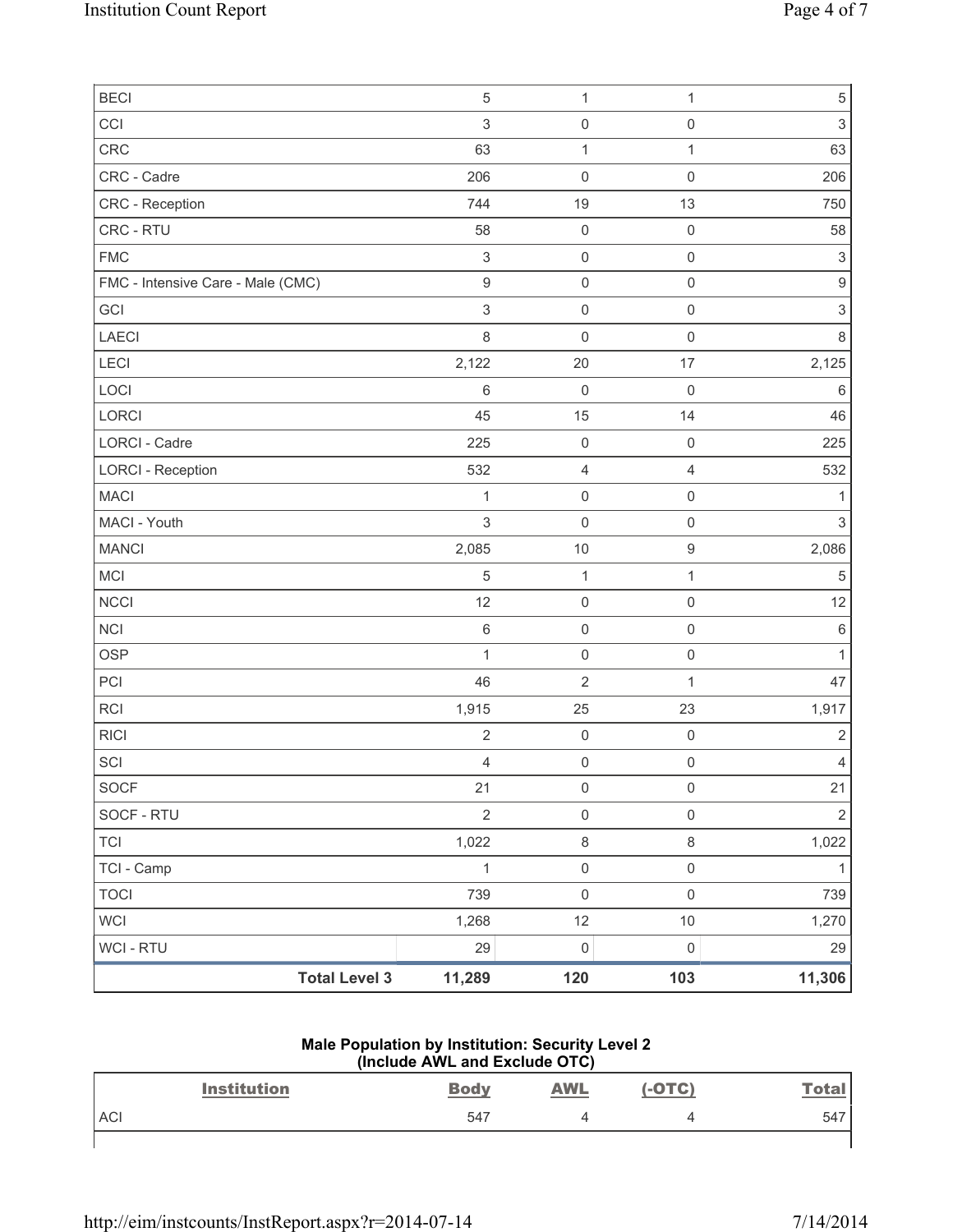|                                   | <b>Total Level 3</b> | 11,289                    | 120                 | 103                 | 11,306                    |
|-----------------------------------|----------------------|---------------------------|---------------------|---------------------|---------------------------|
| <b>WCI - RTU</b>                  |                      | 29                        | $\mathsf{O}\xspace$ | $\mathsf{O}\xspace$ | 29                        |
| <b>WCI</b>                        |                      | 1,268                     | 12                  | $10$                | 1,270                     |
| <b>TOCI</b>                       |                      | 739                       | $\mathsf 0$         | $\mathsf{O}\xspace$ | 739                       |
| TCI - Camp                        |                      | 1                         | $\mathsf{O}\xspace$ | $\mathsf{O}\xspace$ | $\mathbf{1}$              |
| <b>TCI</b>                        |                      | 1,022                     | $\,8\,$             | $\,8\,$             | 1,022                     |
| SOCF - RTU                        |                      | $\overline{2}$            | $\mathsf 0$         | $\mathsf{O}\xspace$ | $\overline{2}$            |
| <b>SOCF</b>                       |                      | 21                        | 0                   | $\pmb{0}$           | 21                        |
| SCI                               |                      | $\overline{4}$            | $\mathsf{O}\xspace$ | $\mathsf 0$         | $\overline{4}$            |
| <b>RICI</b>                       |                      | $\mathbf 2$               | $\mathsf{O}\xspace$ | $\mathsf 0$         | $\overline{2}$            |
| RCI                               |                      | 1,915                     | 25                  | 23                  | 1,917                     |
| PCI                               |                      | 46                        | $\overline{2}$      | $\mathbf{1}$        | 47                        |
| <b>OSP</b>                        |                      | 1                         | $\mathsf{O}\xspace$ | $\mathsf{O}\xspace$ | $\mathbf{1}$              |
| <b>NCI</b>                        |                      | $\,6\,$                   | $\mathsf 0$         | $\mathsf{O}\xspace$ | $\,6\,$                   |
| <b>NCCI</b>                       |                      | 12                        | $\mathsf{O}\xspace$ | $\mathsf{O}\xspace$ | 12                        |
| MCI                               |                      | $\sqrt{5}$                | $\mathbf{1}$        | $\mathbf{1}$        | $\sqrt{5}$                |
| <b>MANCI</b>                      |                      | 2,085                     | 10                  | $\mathsf g$         | 2,086                     |
| MACI - Youth                      |                      | $\mathfrak{S}$            | $\mathbf 0$         | $\mathsf{O}\xspace$ | $\mathsf 3$               |
| <b>MACI</b>                       |                      | $\mathbf{1}$              | $\mathsf 0$         | $\mathsf{O}\xspace$ | $\mathbf{1}$              |
| <b>LORCI - Reception</b>          |                      | 532                       | $\overline{4}$      | 4                   | 532                       |
| <b>LORCI - Cadre</b>              |                      | 225                       | $\mathsf{O}\xspace$ | $\mathsf{O}\xspace$ | 225                       |
| LORCI                             |                      | 45                        | 15                  | 14                  | 46                        |
| LOCI                              |                      | 6                         | $\mathbf 0$         | $\mathsf{O}\xspace$ | $\,6\,$                   |
| <b>LECI</b>                       |                      | 2,122                     | 20                  | 17                  | 2,125                     |
| LAECI                             |                      | $\,8\,$                   | $\mathsf{O}\xspace$ | $\mathsf 0$         | 8                         |
| GCI                               |                      | $\sqrt{3}$                | $\mathsf 0$         | $\mathsf{O}\xspace$ | $\,$ 3 $\,$               |
| FMC - Intensive Care - Male (CMC) |                      | $\mathsf g$               | $\mathsf 0$         | $\mathsf{O}\xspace$ | $\hbox{9}$                |
| <b>FMC</b>                        |                      | $\ensuremath{\mathsf{3}}$ | $\mathsf 0$         | $\mathsf{O}\xspace$ | $\ensuremath{\mathsf{3}}$ |
| CRC - RTU                         |                      | 58                        | $\mathsf{O}\xspace$ | $\mathsf{O}\xspace$ | 58                        |
| CRC - Reception                   |                      | 744                       | 19                  | 13                  | 750                       |
| CRC - Cadre                       |                      | 206                       | $\mathsf{O}\xspace$ | $\mathsf{O}\xspace$ | 206                       |
| CRC                               |                      | 63                        | $\mathbf{1}$        | $\mathbf{1}$        | 63                        |
| CCI                               |                      | $\sqrt{3}$                | $\mathsf{O}\xspace$ | $\mathsf{O}\xspace$ | $\,$ 3 $\,$               |
| <b>BECI</b>                       |                      | $\sqrt{5}$                | $\mathbf{1}$        | $\mathbf{1}$        | $\,$ 5 $\,$               |

### **Male Population by Institution: Security Level 2 (Include AWL and Exclude OTC)**

|            | <b>Institution</b> | <b>Body</b> | <b>AWL</b> | $(-OTC)$ | <b>Total</b> |
|------------|--------------------|-------------|------------|----------|--------------|
| <b>ACI</b> |                    | 547         |            |          | 547          |
|            |                    |             |            |          |              |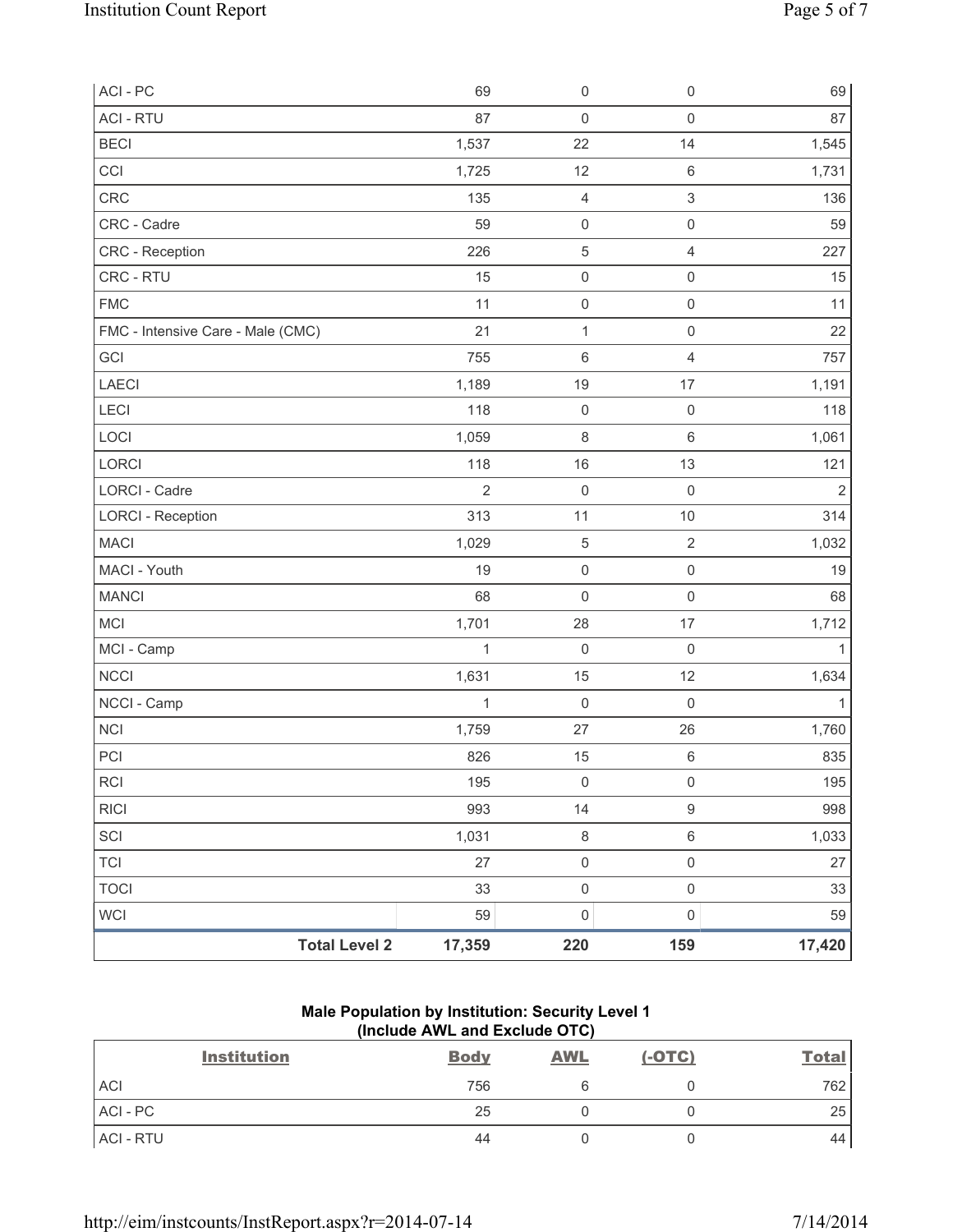| ACI - PC                          | 69             | $\mathsf 0$         | $\mathsf{O}\xspace$ | 69             |
|-----------------------------------|----------------|---------------------|---------------------|----------------|
| <b>ACI - RTU</b>                  | 87             | $\mathbf 0$         | $\mathsf{O}\xspace$ | 87             |
| <b>BECI</b>                       | 1,537          | 22                  | 14                  | 1,545          |
| CCI                               | 1,725          | 12                  | $\,6\,$             | 1,731          |
| CRC                               | 135            | 4                   | $\mathfrak{S}$      | 136            |
| CRC - Cadre                       | 59             | $\mathsf 0$         | $\mathsf{O}\xspace$ | 59             |
| CRC - Reception                   | 226            | $\mathbf 5$         | $\overline{4}$      | 227            |
| CRC - RTU                         | 15             | $\mathsf{O}\xspace$ | $\mathsf{O}\xspace$ | 15             |
| <b>FMC</b>                        | 11             | $\mathsf{O}\xspace$ | $\mathsf{O}\xspace$ | 11             |
| FMC - Intensive Care - Male (CMC) | 21             | $\mathbf 1$         | $\mathsf{O}\xspace$ | 22             |
| GCI                               | 755            | 6                   | $\overline{4}$      | 757            |
| <b>LAECI</b>                      | 1,189          | 19                  | 17                  | 1,191          |
| LECI                              | 118            | $\mathsf 0$         | $\mathsf{O}\xspace$ | 118            |
| LOCI                              | 1,059          | $\,8\,$             | $\,6\,$             | 1,061          |
| LORCI                             | 118            | 16                  | 13                  | 121            |
| <b>LORCI - Cadre</b>              | $\overline{2}$ | $\mathsf 0$         | $\mathbf 0$         | $\overline{2}$ |
| <b>LORCI - Reception</b>          | 313            | 11                  | 10                  | 314            |
| <b>MACI</b>                       | 1,029          | $\sqrt{5}$          | $\overline{2}$      | 1,032          |
| MACI - Youth                      | 19             | $\mathsf{O}\xspace$ | $\mathsf{O}\xspace$ | 19             |
| <b>MANCI</b>                      | 68             | $\mathbf 0$         | $\mathsf{O}\xspace$ | 68             |
| MCI                               | 1,701          | 28                  | 17                  | 1,712          |
| MCI - Camp                        | $\mathbf{1}$   | $\mathbf 0$         | $\mathbf 0$         | 1              |
| <b>NCCI</b>                       | 1,631          | 15                  | 12                  | 1,634          |
| NCCI - Camp                       | $\mathbf 1$    | $\mathbf 0$         | $\mathsf{O}\xspace$ | 1              |
| <b>NCI</b>                        | 1,759          | 27                  | 26                  | 1,760          |
| PCI                               | 826            | 15                  | $\,6$               | 835            |
| <b>RCI</b>                        | 195            | $\mathsf{O}\xspace$ | $\mathsf 0$         | 195            |
| <b>RICI</b>                       | 993            | 14                  | $\mathsf g$         | 998            |
| SCI                               | 1,031          | $\,8\,$             | $\,6\,$             | 1,033          |
| <b>TCI</b>                        | 27             | $\pmb{0}$           | $\mathbf 0$         | 27             |
| <b>TOCI</b>                       | 33             | $\mathbf 0$         | $\mathsf 0$         | 33             |
| WCI                               | 59             | 0                   | $\mathsf{O}\xspace$ | 59             |
| <b>Total Level 2</b>              | 17,359         | 220                 | 159                 | 17,420         |

## **Male Population by Institution: Security Level 1 (Include AWL and Exclude OTC)**

| <b>Institution</b> | <b>Body</b> | <b>AWL</b> | $(-OTC)$ | <b>Total</b> |
|--------------------|-------------|------------|----------|--------------|
| <b>ACI</b>         | 756         |            |          | $762_1$      |
| ACI - PC           | 25          |            |          | 25           |
| ACI - RTU          | 44          |            |          | 44           |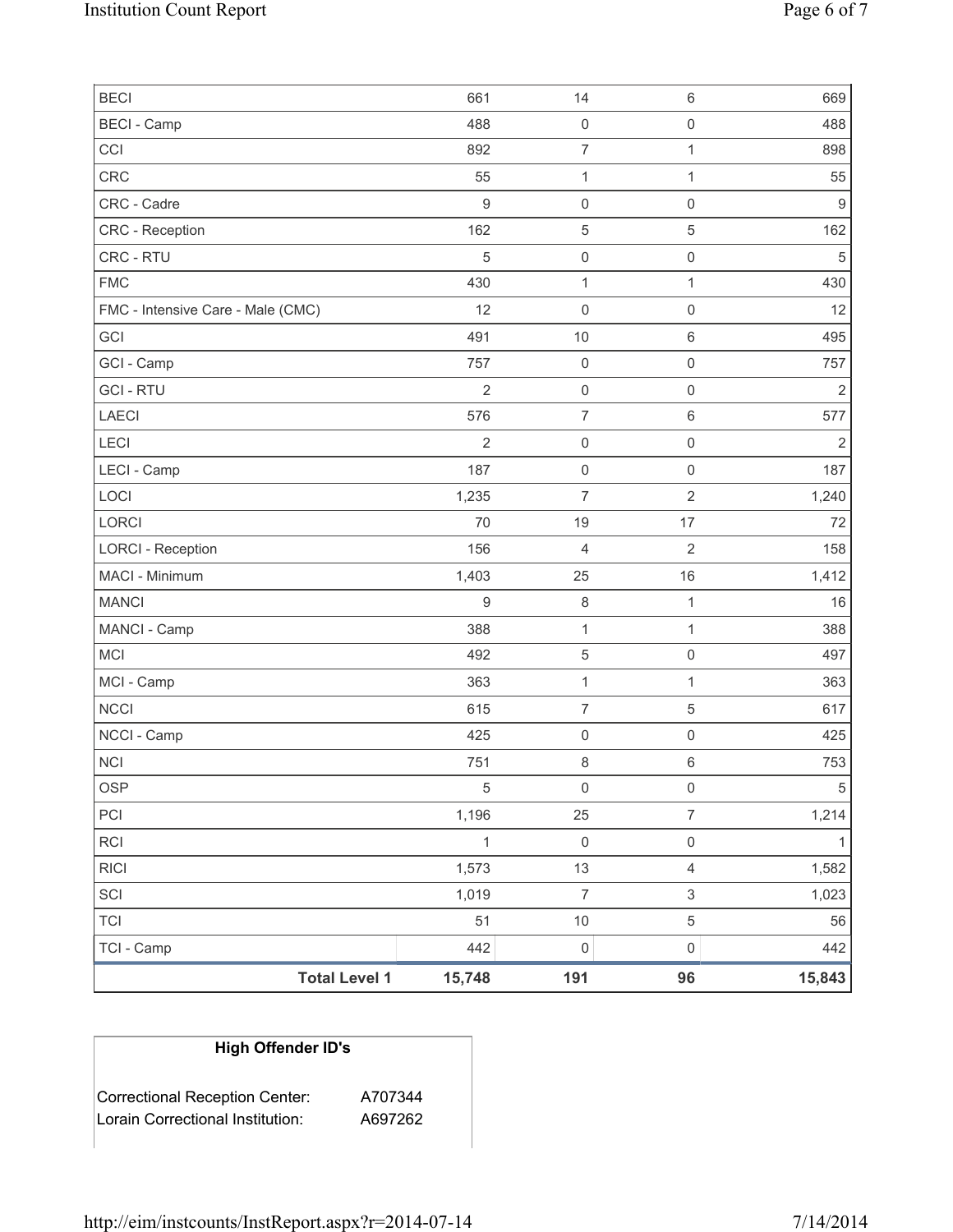| <b>BECI</b>                       | 661              | 14                  | 6                   | 669            |
|-----------------------------------|------------------|---------------------|---------------------|----------------|
| <b>BECI</b> - Camp                | 488              | $\mathsf{O}\xspace$ | $\mathsf{O}\xspace$ | 488            |
| CCI                               | 892              | $\overline{7}$      | 1                   | 898            |
| <b>CRC</b>                        | 55               | $\mathbf{1}$        | 1                   | 55             |
| CRC - Cadre                       | $9\,$            | $\mathsf{O}\xspace$ | $\mathsf{O}\xspace$ | $\overline{9}$ |
| <b>CRC</b> - Reception            | 162              | $\sqrt{5}$          | 5                   | 162            |
| CRC - RTU                         | $\sqrt{5}$       | $\mathsf{O}\xspace$ | $\mathsf{O}\xspace$ | 5              |
| <b>FMC</b>                        | 430              | $\mathbf 1$         | 1                   | 430            |
| FMC - Intensive Care - Male (CMC) | 12               | $\mathbf 0$         | $\mathsf{O}\xspace$ | 12             |
| GCI                               | 491              | 10                  | 6                   | 495            |
| GCI - Camp                        | 757              | $\mathsf 0$         | $\mathsf 0$         | 757            |
| <b>GCI-RTU</b>                    | $\overline{2}$   | $\mathsf 0$         | $\mathsf{O}\xspace$ | $\overline{2}$ |
| <b>LAECI</b>                      | 576              | $\overline{7}$      | $\,6$               | 577            |
| LECI                              | $\overline{2}$   | $\mathsf 0$         | $\mathsf{O}\xspace$ | $\overline{2}$ |
| LECI - Camp                       | 187              | $\mathsf{O}\xspace$ | $\mathsf{O}\xspace$ | 187            |
| LOCI                              | 1,235            | $\overline{7}$      | $\overline{2}$      | 1,240          |
| LORCI                             | 70               | 19                  | 17                  | 72             |
| <b>LORCI - Reception</b>          | 156              | $\overline{4}$      | 2                   | 158            |
| MACI - Minimum                    | 1,403            | 25                  | 16                  | 1,412          |
| <b>MANCI</b>                      | $\boldsymbol{9}$ | $\,8\,$             | 1                   | 16             |
| MANCI - Camp                      | 388              | $\mathbf{1}$        | $\mathbf{1}$        | 388            |
| <b>MCI</b>                        | 492              | $\,$ 5 $\,$         | $\mathsf{O}\xspace$ | 497            |
| MCI - Camp                        | 363              | $\mathbf{1}$        | $\mathbf{1}$        | 363            |
| <b>NCCI</b>                       | 615              | $\overline{7}$      | 5                   | 617            |
| NCCI - Camp                       | 425              | $\mathsf{O}\xspace$ | $\mathsf{O}\xspace$ | 425            |
| <b>NCI</b>                        | 751              | 8                   | 6                   | 753            |
| <b>OSP</b>                        | $\,$ 5 $\,$      | $\mathsf{O}\xspace$ | $\mathsf{O}\xspace$ | $\,$ 5 $\,$    |
| PCI                               | 1,196            | 25                  | $\overline{7}$      | 1,214          |
| RCI                               | 1                | $\mathsf{O}\xspace$ | $\mathsf{O}\xspace$ | 1              |
| <b>RICI</b>                       | 1,573            | 13                  | $\overline{4}$      | 1,582          |
| SCI                               | 1,019            | $\boldsymbol{7}$    | 3                   | 1,023          |
| <b>TCI</b>                        | 51               | $10$                | 5                   | 56             |
| TCI - Camp                        | 442              | $\mathsf{O}\xspace$ | $\mathsf{O}\xspace$ | 442            |
| <b>Total Level 1</b>              | 15,748           | 191                 | 96                  | 15,843         |

# **High Offender ID's**

| <b>Correctional Reception Center:</b> | A707344 |
|---------------------------------------|---------|
| Lorain Correctional Institution:      | A697262 |